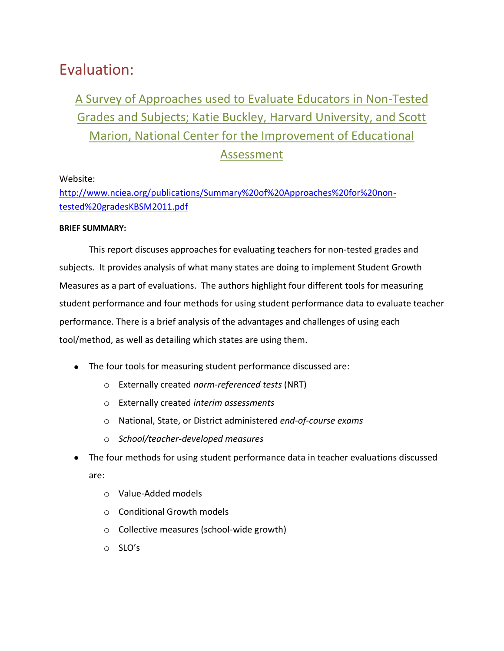# Evaluation:

# A Survey of Approaches used to Evaluate Educators in Non-Tested Grades and Subjects; Katie Buckley, Harvard University, and Scott Marion, National Center for the Improvement of Educational Assessment

## Website:

[http://www.nciea.org/publications/Summary%20of%20Approaches%20for%20non](http://www.nciea.org/publications/Summary%20of%20Approaches%20for%20non-tested%20gradesKBSM2011.pdf)[tested%20gradesKBSM2011.pdf](http://www.nciea.org/publications/Summary%20of%20Approaches%20for%20non-tested%20gradesKBSM2011.pdf)

### **BRIEF SUMMARY:**

This report discuses approaches for evaluating teachers for non-tested grades and subjects. It provides analysis of what many states are doing to implement Student Growth Measures as a part of evaluations. The authors highlight four different tools for measuring student performance and four methods for using student performance data to evaluate teacher performance. There is a brief analysis of the advantages and challenges of using each tool/method, as well as detailing which states are using them.

- The four tools for measuring student performance discussed are:
	- o Externally created *norm-referenced tests* (NRT)
	- o Externally created *interim assessments*
	- o National, State, or District administered *end-of-course exams*
	- o *School/teacher-developed measures*
- The four methods for using student performance data in teacher evaluations discussed are:
	- o Value-Added models
	- o Conditional Growth models
	- o Collective measures (school-wide growth)
	- o SLO's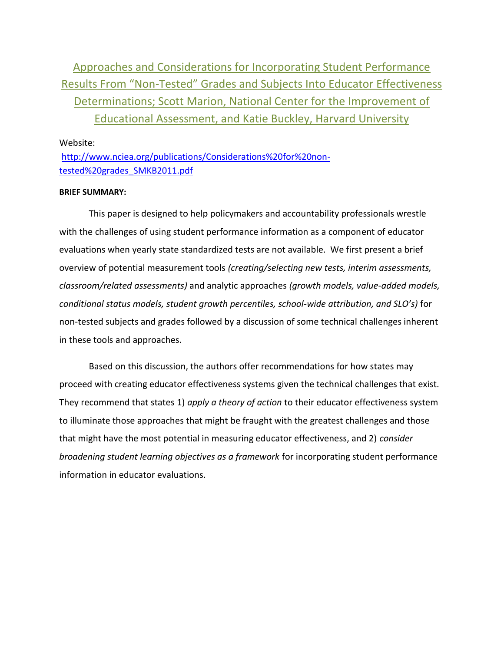Approaches and Considerations for Incorporating Student Performance Results From "Non-Tested" Grades and Subjects Into Educator Effectiveness Determinations; Scott Marion, National Center for the Improvement of Educational Assessment, and Katie Buckley, Harvard University

Website:

[http://www.nciea.org/publications/Considerations%20for%20non](http://www.nciea.org/publications/Considerations%20for%20non-tested%20grades_SMKB2011.pdf)[tested%20grades\\_SMKB2011.pdf](http://www.nciea.org/publications/Considerations%20for%20non-tested%20grades_SMKB2011.pdf)

#### **BRIEF SUMMARY:**

This paper is designed to help policymakers and accountability professionals wrestle with the challenges of using student performance information as a component of educator evaluations when yearly state standardized tests are not available. We first present a brief overview of potential measurement tools *(creating/selecting new tests, interim assessments, classroom/related assessments)* and analytic approaches *(growth models, value-added models, conditional status models, student growth percentiles, school-wide attribution, and SLO's)* for non-tested subjects and grades followed by a discussion of some technical challenges inherent in these tools and approaches.

Based on this discussion, the authors offer recommendations for how states may proceed with creating educator effectiveness systems given the technical challenges that exist. They recommend that states 1) *apply a theory of action* to their educator effectiveness system to illuminate those approaches that might be fraught with the greatest challenges and those that might have the most potential in measuring educator effectiveness, and 2) *consider broadening student learning objectives as a framework* for incorporating student performance information in educator evaluations.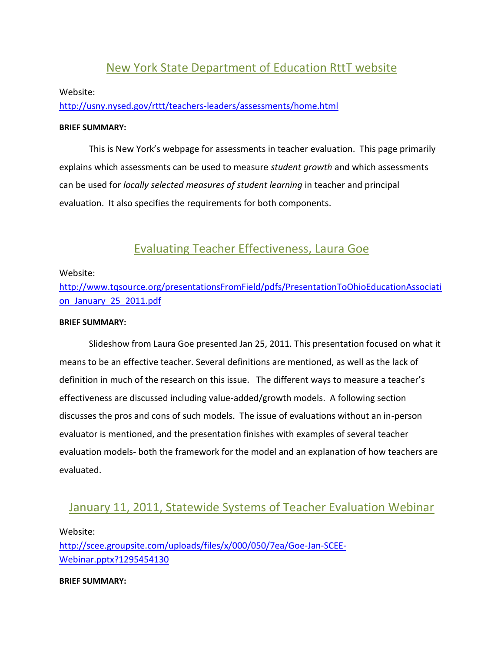# New York State Department of Education RttT website

#### Website:

<http://usny.nysed.gov/rttt/teachers-leaders/assessments/home.html>

#### **BRIEF SUMMARY:**

This is New York's webpage for assessments in teacher evaluation. This page primarily explains which assessments can be used to measure *student growth* and which assessments can be used for *locally selected measures of student learning* in teacher and principal evaluation. It also specifies the requirements for both components.

## Evaluating Teacher Effectiveness, Laura Goe

#### Website:

[http://www.tqsource.org/presentationsFromField/pdfs/PresentationToOhioEducationAssociati](http://www.tqsource.org/presentationsFromField/pdfs/PresentationToOhioEducationAssociation_January_25_2011.pdf) [on\\_January\\_25\\_2011.pdf](http://www.tqsource.org/presentationsFromField/pdfs/PresentationToOhioEducationAssociation_January_25_2011.pdf)

#### **BRIEF SUMMARY:**

Slideshow from Laura Goe presented Jan 25, 2011. This presentation focused on what it means to be an effective teacher. Several definitions are mentioned, as well as the lack of definition in much of the research on this issue. The different ways to measure a teacher's effectiveness are discussed including value-added/growth models. A following section discusses the pros and cons of such models. The issue of evaluations without an in-person evaluator is mentioned, and the presentation finishes with examples of several teacher evaluation models- both the framework for the model and an explanation of how teachers are evaluated.

## January 11, 2011, Statewide Systems of Teacher Evaluation Webinar

#### Website:

[http://scee.groupsite.com/uploads/files/x/000/050/7ea/Goe-Jan-SCEE-](http://scee.groupsite.com/uploads/files/x/000/050/7ea/Goe-Jan-SCEE-Webinar.pptx?1295454130)[Webinar.pptx?1295454130](http://scee.groupsite.com/uploads/files/x/000/050/7ea/Goe-Jan-SCEE-Webinar.pptx?1295454130)

#### **BRIEF SUMMARY:**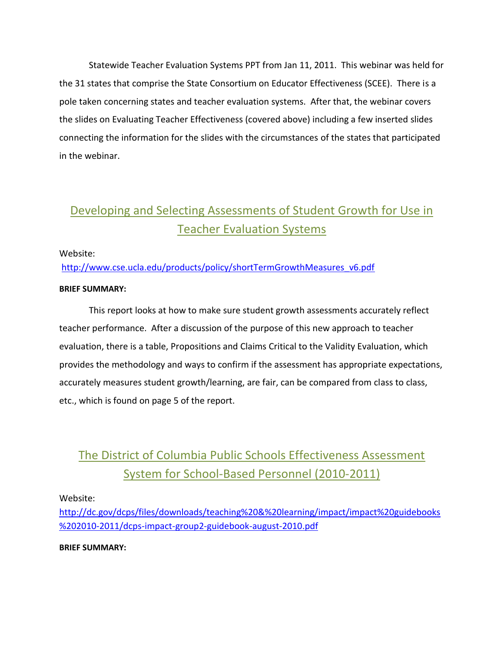Statewide Teacher Evaluation Systems PPT from Jan 11, 2011. This webinar was held for the 31 states that comprise the State Consortium on Educator Effectiveness (SCEE). There is a pole taken concerning states and teacher evaluation systems. After that, the webinar covers the slides on Evaluating Teacher Effectiveness (covered above) including a few inserted slides connecting the information for the slides with the circumstances of the states that participated in the webinar.

# Developing and Selecting Assessments of Student Growth for Use in Teacher Evaluation Systems

### Website:

[http://www.cse.ucla.edu/products/policy/shortTermGrowthMeasures\\_v6.pdf](http://www.cse.ucla.edu/products/policy/shortTermGrowthMeasures_v6.pdf)

### **BRIEF SUMMARY:**

This report looks at how to make sure student growth assessments accurately reflect teacher performance. After a discussion of the purpose of this new approach to teacher evaluation, there is a table, Propositions and Claims Critical to the Validity Evaluation, which provides the methodology and ways to confirm if the assessment has appropriate expectations, accurately measures student growth/learning, are fair, can be compared from class to class, etc., which is found on page 5 of the report.

# The District of Columbia Public Schools Effectiveness Assessment System for School-Based Personnel (2010-2011)

### Website:

[http://dc.gov/dcps/files/downloads/teaching%20&%20learning/impact/impact%20guidebooks](http://dc.gov/dcps/files/downloads/teaching%20&%20learning/impact/impact%20guidebooks%202010-2011/dcps-impact-group2-guidebook-august-2010.pdf) [%202010-2011/dcps-impact-group2-guidebook-august-2010.pdf](http://dc.gov/dcps/files/downloads/teaching%20&%20learning/impact/impact%20guidebooks%202010-2011/dcps-impact-group2-guidebook-august-2010.pdf) 

### **BRIEF SUMMARY:**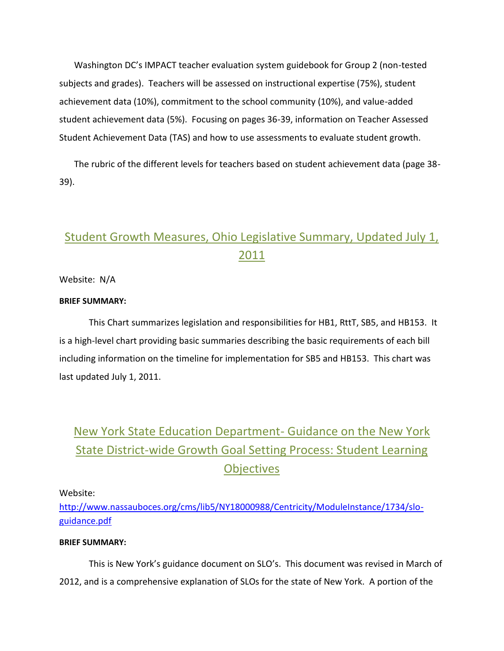Washington DC's IMPACT teacher evaluation system guidebook for Group 2 (non-tested subjects and grades). Teachers will be assessed on instructional expertise (75%), student achievement data (10%), commitment to the school community (10%), and value-added student achievement data (5%). Focusing on pages 36-39, information on Teacher Assessed Student Achievement Data (TAS) and how to use assessments to evaluate student growth.

The rubric of the different levels for teachers based on student achievement data (page 38- 39).

# Student Growth Measures, Ohio Legislative Summary, Updated July 1, 2011

Website: N/A

#### **BRIEF SUMMARY:**

This Chart summarizes legislation and responsibilities for HB1, RttT, SB5, and HB153. It is a high-level chart providing basic summaries describing the basic requirements of each bill including information on the timeline for implementation for SB5 and HB153. This chart was last updated July 1, 2011.

# New York State Education Department- Guidance on the New York State District-wide Growth Goal Setting Process: Student Learning **Objectives**

Website:

[http://www.nassauboces.org/cms/lib5/NY18000988/Centricity/ModuleInstance/1734/slo](http://www.nassauboces.org/cms/lib5/NY18000988/Centricity/ModuleInstance/1734/slo-guidance.pdf)[guidance.pdf](http://www.nassauboces.org/cms/lib5/NY18000988/Centricity/ModuleInstance/1734/slo-guidance.pdf)

### **BRIEF SUMMARY:**

This is New York's guidance document on SLO's. This document was revised in March of 2012, and is a comprehensive explanation of SLOs for the state of New York. A portion of the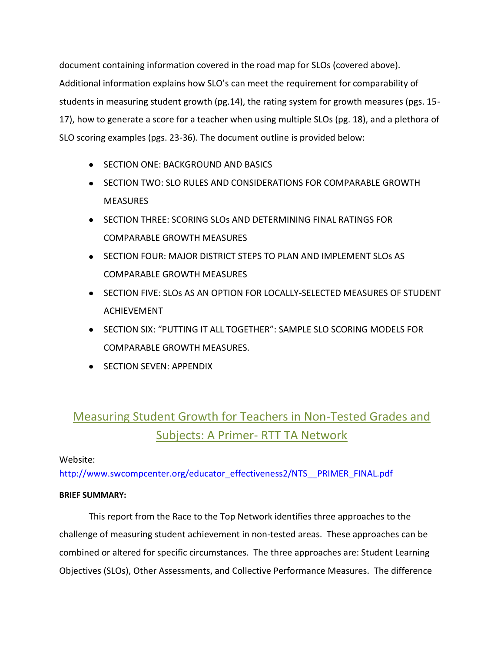document containing information covered in the road map for SLOs (covered above). Additional information explains how SLO's can meet the requirement for comparability of students in measuring student growth (pg.14), the rating system for growth measures (pgs. 15- 17), how to generate a score for a teacher when using multiple SLOs (pg. 18), and a plethora of SLO scoring examples (pgs. 23-36). The document outline is provided below:

- **SECTION ONE: BACKGROUND AND BASICS**
- **SECTION TWO: SLO RULES AND CONSIDERATIONS FOR COMPARABLE GROWTH MEASURES**
- **SECTION THREE: SCORING SLOS AND DETERMINING FINAL RATINGS FOR** COMPARABLE GROWTH MEASURES
- **•** SECTION FOUR: MAJOR DISTRICT STEPS TO PLAN AND IMPLEMENT SLOS AS COMPARABLE GROWTH MEASURES
- **SECTION FIVE: SLOS AS AN OPTION FOR LOCALLY-SELECTED MEASURES OF STUDENT** ACHIEVEMENT
- **SECTION SIX: "PUTTING IT ALL TOGETHER": SAMPLE SLO SCORING MODELS FOR** COMPARABLE GROWTH MEASURES.
- **SECTION SEVEN: APPENDIX**

# Measuring Student Growth for Teachers in Non-Tested Grades and Subjects: A Primer- RTT TA Network

### Website:

[http://www.swcompcenter.org/educator\\_effectiveness2/NTS\\_\\_PRIMER\\_FINAL.pdf](http://www.swcompcenter.org/educator_effectiveness2/NTS__PRIMER_FINAL.pdf)

### **BRIEF SUMMARY:**

This report from the Race to the Top Network identifies three approaches to the challenge of measuring student achievement in non-tested areas. These approaches can be combined or altered for specific circumstances. The three approaches are: Student Learning Objectives (SLOs), Other Assessments, and Collective Performance Measures. The difference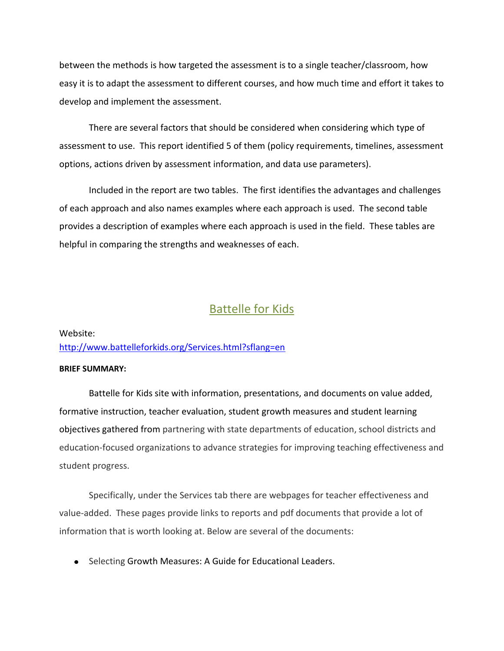between the methods is how targeted the assessment is to a single teacher/classroom, how easy it is to adapt the assessment to different courses, and how much time and effort it takes to develop and implement the assessment.

There are several factors that should be considered when considering which type of assessment to use. This report identified 5 of them (policy requirements, timelines, assessment options, actions driven by assessment information, and data use parameters).

Included in the report are two tables. The first identifies the advantages and challenges of each approach and also names examples where each approach is used. The second table provides a description of examples where each approach is used in the field. These tables are helpful in comparing the strengths and weaknesses of each.

## Battelle for Kids

## Website: <http://www.battelleforkids.org/Services.html?sflang=en>

#### **BRIEF SUMMARY:**

Battelle for Kids site with information, presentations, and documents on value added, formative instruction, teacher evaluation, student growth measures and student learning objectives gathered from partnering with state departments of education, school districts and education-focused organizations to advance strategies for improving teaching effectiveness and student progress.

Specifically, under the Services tab there are webpages for teacher effectiveness and value-added. These pages provide links to reports and pdf documents that provide a lot of information that is worth looking at. Below are several of the documents:

• Selecting Growth Measures: A Guide for Educational Leaders.